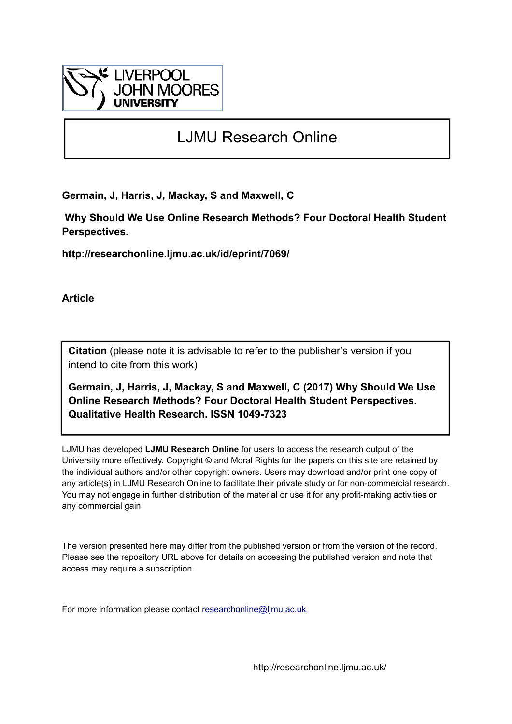

# LJMU Research Online

**Germain, J, Harris, J, Mackay, S and Maxwell, C**

 **Why Should We Use Online Research Methods? Four Doctoral Health Student Perspectives.**

**http://researchonline.ljmu.ac.uk/id/eprint/7069/**

**Article**

**Citation** (please note it is advisable to refer to the publisher's version if you intend to cite from this work)

**Germain, J, Harris, J, Mackay, S and Maxwell, C (2017) Why Should We Use Online Research Methods? Four Doctoral Health Student Perspectives. Qualitative Health Research. ISSN 1049-7323** 

LJMU has developed **[LJMU Research Online](http://researchonline.ljmu.ac.uk/)** for users to access the research output of the University more effectively. Copyright © and Moral Rights for the papers on this site are retained by the individual authors and/or other copyright owners. Users may download and/or print one copy of any article(s) in LJMU Research Online to facilitate their private study or for non-commercial research. You may not engage in further distribution of the material or use it for any profit-making activities or any commercial gain.

The version presented here may differ from the published version or from the version of the record. Please see the repository URL above for details on accessing the published version and note that access may require a subscription.

For more information please contact [researchonline@ljmu.ac.uk](mailto:researchonline@ljmu.ac.uk)

http://researchonline.ljmu.ac.uk/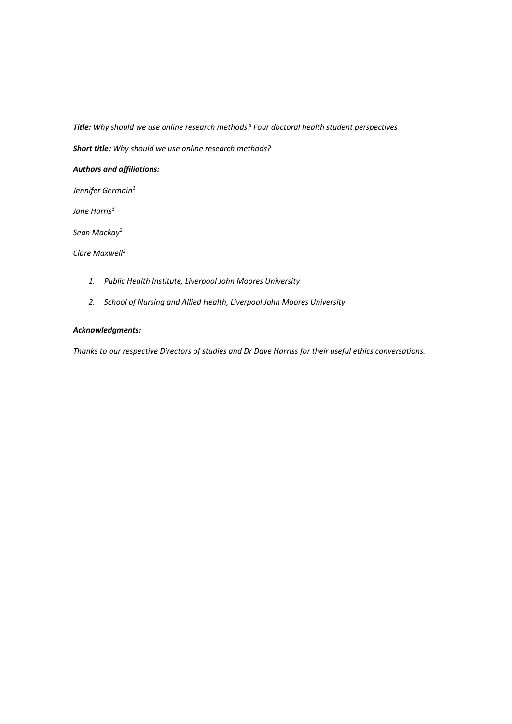*Title: Why should we use online research methods? Four doctoral health student perspectives* 

*Short title: Why should we use online research methods?*

# *Authors and affiliations:*

*Jennifer Germain<sup>1</sup>*

*Jane Harris<sup>1</sup>*

*Sean Mackay<sup>2</sup>*

*Clare Maxwell<sup>2</sup>*

- *1. Public Health Institute, Liverpool John Moores University*
- *2. School of Nursing and Allied Health, Liverpool John Moores University*

# *Acknowledgments:*

*Thanks to our respective Directors of studies and Dr Dave Harriss for their useful ethics conversations.*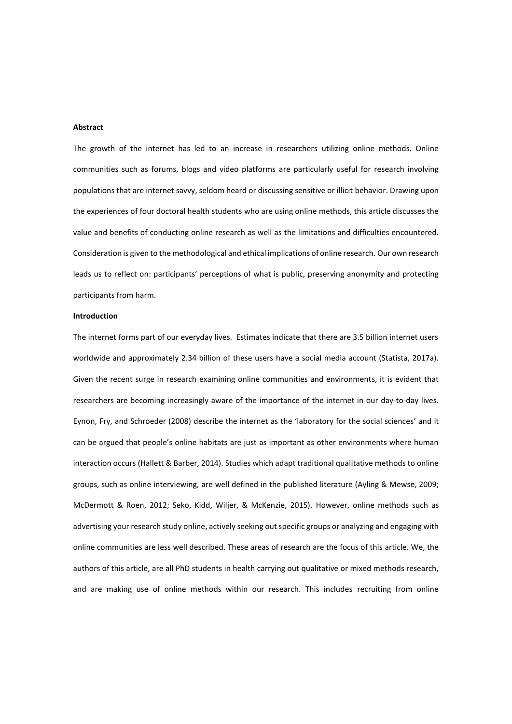## **Abstract**

The growth of the internet has led to an increase in researchers utilizing online methods. Online communities such as forums, blogs and video platforms are particularly useful for research involving populations that are internet savvy, seldom heard or discussing sensitive or illicit behavior. Drawing upon the experiences of four doctoral health students who are using online methods, this article discusses the value and benefits of conducting online research as well as the limitations and difficulties encountered. Consideration is given to the methodological and ethical implications of online research. Our own research leads us to reflect on: participants' perceptions of what is public, preserving anonymity and protecting participants from harm.

## **Introduction**

The internet forms part of our everyday lives. Estimates indicate that there are 3.5 billion internet users worldwide and approximately 2.34 billion of these users have a social media account (Statista, 2017a). Given the recent surge in research examining online communities and environments, it is evident that researchers are becoming increasingly aware of the importance of the internet in our day-to-day lives. Eynon, Fry, and Schroeder (2008) describe the internet as the 'laboratory for the social sciences' and it can be argued that people's online habitats are just as important as other environments where human interaction occurs (Hallett & Barber, 2014). Studies which adapt traditional qualitative methods to online groups, such as online interviewing, are well defined in the published literature (Ayling & Mewse, 2009; McDermott & Roen, 2012; Seko, Kidd, Wiljer, & McKenzie, 2015). However, online methods such as advertising your research study online, actively seeking out specific groups or analyzing and engaging with online communities are less well described. These areas of research are the focus of this article. We, the authors of this article, are all PhD students in health carrying out qualitative or mixed methods research, and are making use of online methods within our research. This includes recruiting from online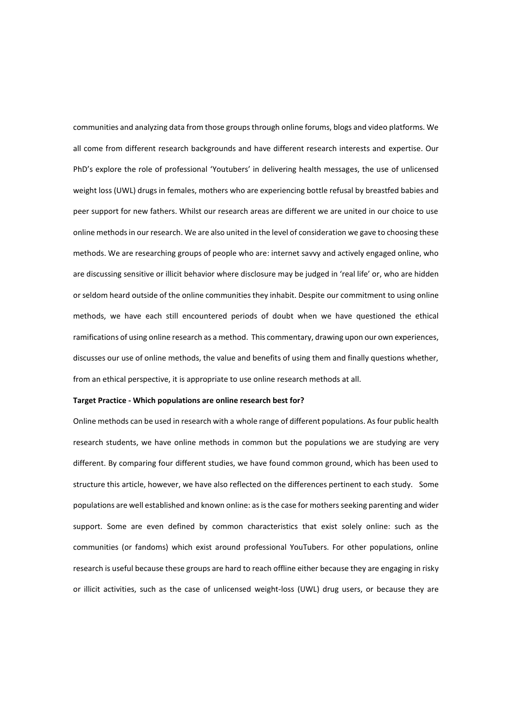communities and analyzing data from those groups through online forums, blogs and video platforms. We all come from different research backgrounds and have different research interests and expertise. Our PhD's explore the role of professional 'Youtubers' in delivering health messages, the use of unlicensed weight loss (UWL) drugs in females, mothers who are experiencing bottle refusal by breastfed babies and peer support for new fathers. Whilst our research areas are different we are united in our choice to use online methods in our research. We are also united in the level of consideration we gave to choosing these methods. We are researching groups of people who are: internet savvy and actively engaged online, who are discussing sensitive or illicit behavior where disclosure may be judged in 'real life' or, who are hidden or seldom heard outside of the online communities they inhabit. Despite our commitment to using online methods, we have each still encountered periods of doubt when we have questioned the ethical ramifications of using online research as a method. This commentary, drawing upon our own experiences, discusses our use of online methods, the value and benefits of using them and finally questions whether, from an ethical perspective, it is appropriate to use online research methods at all.

#### **Target Practice - Which populations are online research best for?**

Online methods can be used in research with a whole range of different populations. As four public health research students, we have online methods in common but the populations we are studying are very different. By comparing four different studies, we have found common ground, which has been used to structure this article, however, we have also reflected on the differences pertinent to each study. Some populations are well established and known online: as is the case for mothers seeking parenting and wider support. Some are even defined by common characteristics that exist solely online: such as the communities (or fandoms) which exist around professional YouTubers. For other populations, online research is useful because these groups are hard to reach offline either because they are engaging in risky or illicit activities, such as the case of unlicensed weight-loss (UWL) drug users, or because they are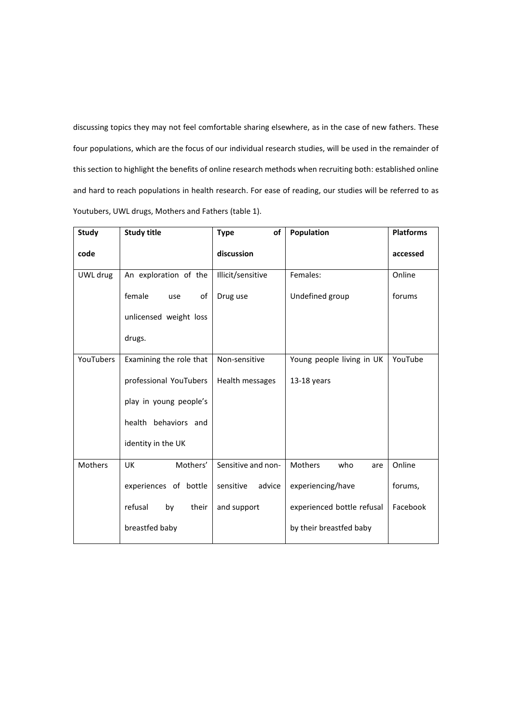discussing topics they may not feel comfortable sharing elsewhere, as in the case of new fathers. These four populations, which are the focus of our individual research studies, will be used in the remainder of this section to highlight the benefits of online research methods when recruiting both: established online and hard to reach populations in health research. For ease of reading, our studies will be referred to as Youtubers, UWL drugs, Mothers and Fathers (table 1).

| <b>Study</b> | <b>Study title</b>      | of<br><b>Type</b>             | Population                 | <b>Platforms</b> |  |
|--------------|-------------------------|-------------------------------|----------------------------|------------------|--|
| code         |                         | discussion                    |                            | accessed         |  |
| UWL drug     | An exploration of the   | Females:<br>Illicit/sensitive |                            | Online           |  |
|              | female<br>of<br>use     | Drug use                      | Undefined group            |                  |  |
|              | unlicensed weight loss  |                               |                            |                  |  |
|              | drugs.                  |                               |                            |                  |  |
| YouTubers    | Examining the role that | Non-sensitive                 | Young people living in UK  | YouTube          |  |
|              | professional YouTubers  | Health messages               | 13-18 years                |                  |  |
|              | play in young people's  |                               |                            |                  |  |
|              | health behaviors and    |                               |                            |                  |  |
|              | identity in the UK      |                               |                            |                  |  |
| Mothers      | Mothers'<br><b>UK</b>   | Sensitive and non-            | Mothers<br>who<br>are      | Online           |  |
|              | experiences of bottle   | sensitive<br>advice           | experiencing/have          | forums,          |  |
|              | refusal<br>by<br>their  | and support                   | experienced bottle refusal | Facebook         |  |
|              | breastfed baby          |                               | by their breastfed baby    |                  |  |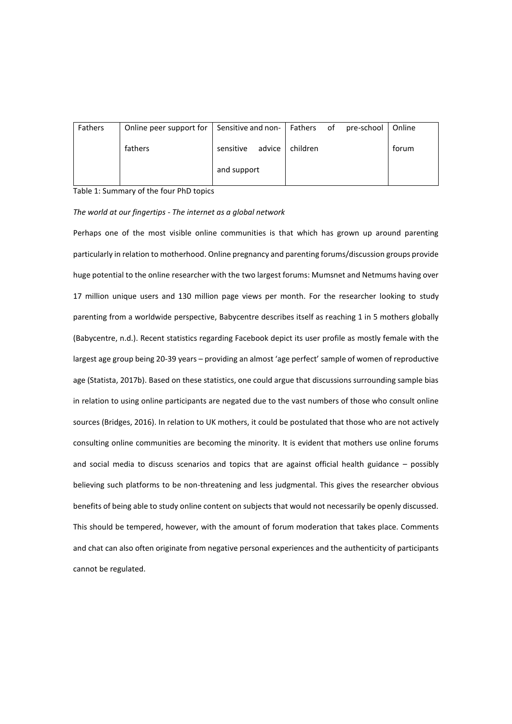| Fathers | Online peer support for   Sensitive and non-   Fathers of |                     |          | pre-school | Online |
|---------|-----------------------------------------------------------|---------------------|----------|------------|--------|
|         | fathers                                                   | advice<br>sensitive | children |            | forum  |
|         |                                                           | and support         |          |            |        |

## Table 1: Summary of the four PhD topics

## *The world at our fingertips - The internet as a global network*

Perhaps one of the most visible online communities is that which has grown up around parenting particularly in relation to motherhood. Online pregnancy and parenting forums/discussion groups provide huge potential to the online researcher with the two largest forums: Mumsnet and Netmums having over 17 million unique users and 130 million page views per month. For the researcher looking to study parenting from a worldwide perspective, Babycentre describes itself as reaching 1 in 5 mothers globally (Babycentre, n.d.). Recent statistics regarding Facebook depict its user profile as mostly female with the largest age group being 20-39 years – providing an almost 'age perfect' sample of women of reproductive age (Statista, 2017b). Based on these statistics, one could argue that discussions surrounding sample bias in relation to using online participants are negated due to the vast numbers of those who consult online sources (Bridges, 2016). In relation to UK mothers, it could be postulated that those who are not actively consulting online communities are becoming the minority. It is evident that mothers use online forums and social media to discuss scenarios and topics that are against official health guidance – possibly believing such platforms to be non-threatening and less judgmental. This gives the researcher obvious benefits of being able to study online content on subjects that would not necessarily be openly discussed. This should be tempered, however, with the amount of forum moderation that takes place. Comments and chat can also often originate from negative personal experiences and the authenticity of participants cannot be regulated.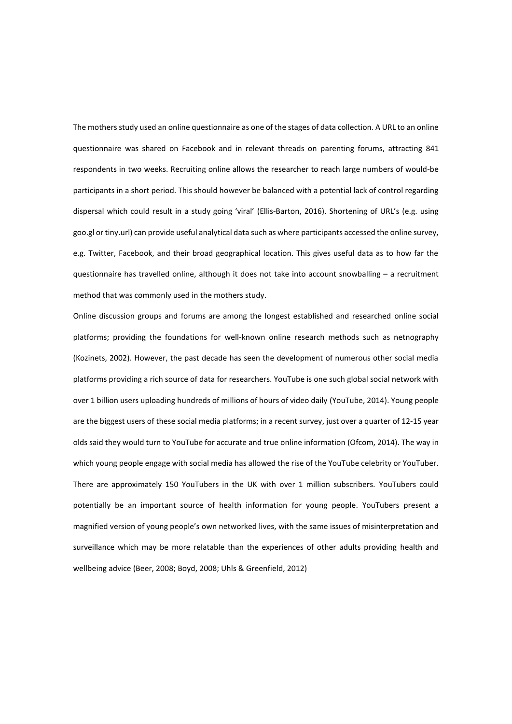The mothers study used an online questionnaire as one of the stages of data collection. A URL to an online questionnaire was shared on Facebook and in relevant threads on parenting forums, attracting 841 respondents in two weeks. Recruiting online allows the researcher to reach large numbers of would-be participants in a short period. This should however be balanced with a potential lack of control regarding dispersal which could result in a study going 'viral' (Ellis-Barton, 2016). Shortening of URL's (e.g. using goo.gl or tiny.url) can provide useful analytical data such as where participants accessed the online survey, e.g. Twitter, Facebook, and their broad geographical location. This gives useful data as to how far the questionnaire has travelled online, although it does not take into account snowballing – a recruitment method that was commonly used in the mothers study.

Online discussion groups and forums are among the longest established and researched online social platforms; providing the foundations for well-known online research methods such as netnography (Kozinets, 2002). However, the past decade has seen the development of numerous other social media platforms providing a rich source of data for researchers. YouTube is one such global social network with over 1 billion users uploading hundreds of millions of hours of video daily (YouTube, 2014). Young people are the biggest users of these social media platforms; in a recent survey, just over a quarter of 12-15 year olds said they would turn to YouTube for accurate and true online information (Ofcom, 2014). The way in which young people engage with social media has allowed the rise of the YouTube celebrity or YouTuber. There are approximately 150 YouTubers in the UK with over 1 million subscribers. YouTubers could potentially be an important source of health information for young people. YouTubers present a magnified version of young people's own networked lives, with the same issues of misinterpretation and surveillance which may be more relatable than the experiences of other adults providing health and wellbeing advice (Beer, 2008; Boyd, 2008; Uhls & Greenfield, 2012)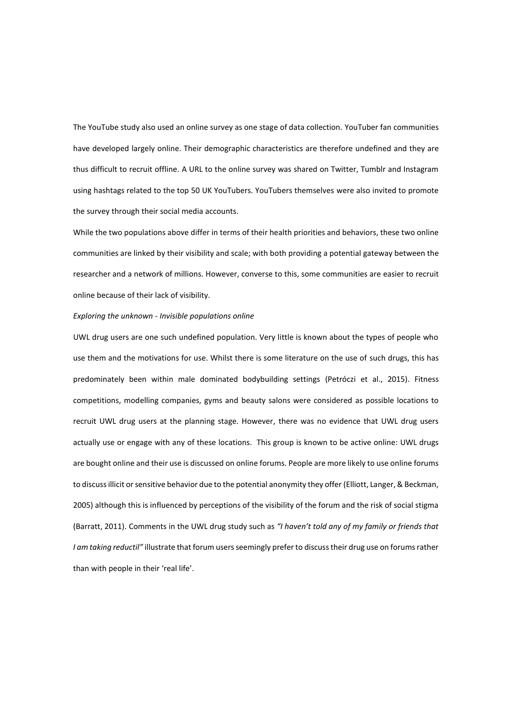The YouTube study also used an online survey as one stage of data collection. YouTuber fan communities have developed largely online. Their demographic characteristics are therefore undefined and they are thus difficult to recruit offline. A URL to the online survey was shared on Twitter, Tumblr and Instagram using hashtags related to the top 50 UK YouTubers. YouTubers themselves were also invited to promote the survey through their social media accounts.

While the two populations above differ in terms of their health priorities and behaviors, these two online communities are linked by their visibility and scale; with both providing a potential gateway between the researcher and a network of millions. However, converse to this, some communities are easier to recruit online because of their lack of visibility.

## *Exploring the unknown - Invisible populations online*

UWL drug users are one such undefined population. Very little is known about the types of people who use them and the motivations for use. Whilst there is some literature on the use of such drugs, this has predominately been within male dominated bodybuilding settings (Petróczi et al., 2015). Fitness competitions, modelling companies, gyms and beauty salons were considered as possible locations to recruit UWL drug users at the planning stage. However, there was no evidence that UWL drug users actually use or engage with any of these locations. This group is known to be active online: UWL drugs are bought online and their use is discussed on online forums. People are more likely to use online forums to discuss illicit or sensitive behavior due to the potential anonymity they offer (Elliott, Langer, & Beckman, 2005) although this is influenced by perceptions of the visibility of the forum and the risk of social stigma (Barratt, 2011). Comments in the UWL drug study such as *"I haven't told any of my family or friends that I am taking reductil"* illustrate that forum users seemingly prefer to discuss their drug use on forums rather than with people in their 'real life'.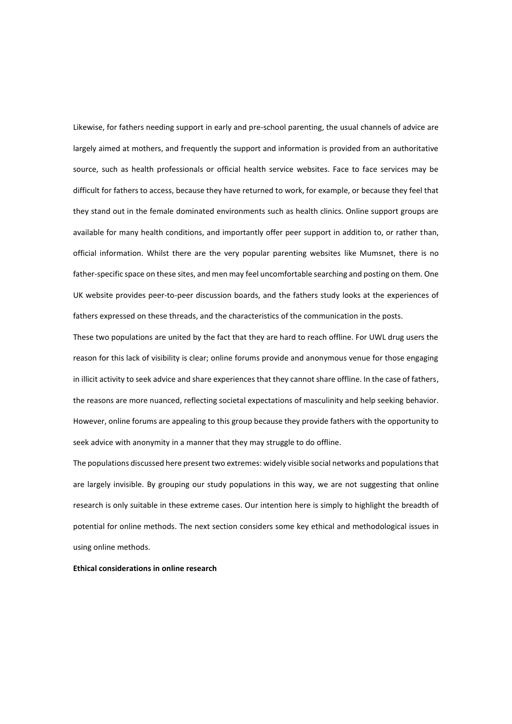Likewise, for fathers needing support in early and pre-school parenting, the usual channels of advice are largely aimed at mothers, and frequently the support and information is provided from an authoritative source, such as health professionals or official health service websites. Face to face services may be difficult for fathers to access, because they have returned to work, for example, or because they feel that they stand out in the female dominated environments such as health clinics. Online support groups are available for many health conditions, and importantly offer peer support in addition to, or rather than, official information. Whilst there are the very popular parenting websites like Mumsnet, there is no father-specific space on these sites, and men may feel uncomfortable searching and posting on them. One UK website provides peer-to-peer discussion boards, and the fathers study looks at the experiences of fathers expressed on these threads, and the characteristics of the communication in the posts.

These two populations are united by the fact that they are hard to reach offline. For UWL drug users the reason for this lack of visibility is clear; online forums provide and anonymous venue for those engaging in illicit activity to seek advice and share experiences that they cannot share offline. In the case of fathers, the reasons are more nuanced, reflecting societal expectations of masculinity and help seeking behavior. However, online forums are appealing to this group because they provide fathers with the opportunity to seek advice with anonymity in a manner that they may struggle to do offline.

The populations discussed here present two extremes: widely visible social networks and populations that are largely invisible. By grouping our study populations in this way, we are not suggesting that online research is only suitable in these extreme cases. Our intention here is simply to highlight the breadth of potential for online methods. The next section considers some key ethical and methodological issues in using online methods.

**Ethical considerations in online research**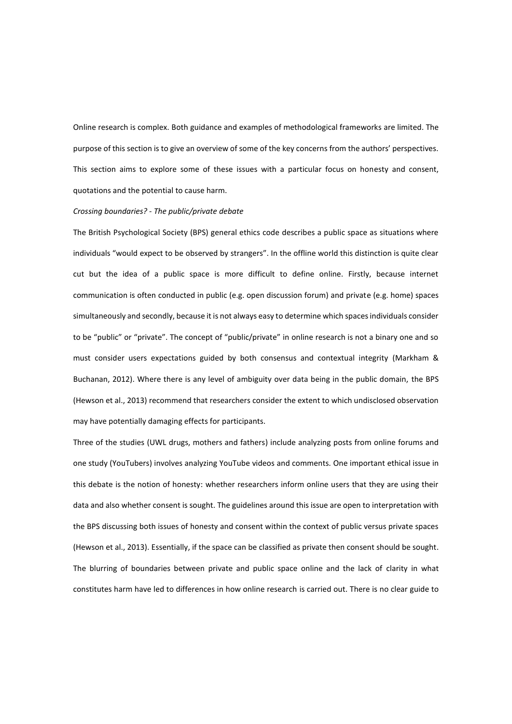Online research is complex. Both guidance and examples of methodological frameworks are limited. The purpose of this section is to give an overview of some of the key concerns from the authors' perspectives. This section aims to explore some of these issues with a particular focus on honesty and consent, quotations and the potential to cause harm.

## *Crossing boundaries? - The public/private debate*

The British Psychological Society (BPS) general ethics code describes a public space as situations where individuals "would expect to be observed by strangers". In the offline world this distinction is quite clear cut but the idea of a public space is more difficult to define online. Firstly, because internet communication is often conducted in public (e.g. open discussion forum) and private (e.g. home) spaces simultaneously and secondly, because it is not always easy to determine which spaces individuals consider to be "public" or "private". The concept of "public/private" in online research is not a binary one and so must consider users expectations guided by both consensus and contextual integrity (Markham & Buchanan, 2012). Where there is any level of ambiguity over data being in the public domain, the BPS (Hewson et al., 2013) recommend that researchers consider the extent to which undisclosed observation may have potentially damaging effects for participants.

Three of the studies (UWL drugs, mothers and fathers) include analyzing posts from online forums and one study (YouTubers) involves analyzing YouTube videos and comments. One important ethical issue in this debate is the notion of honesty: whether researchers inform online users that they are using their data and also whether consent is sought. The guidelines around this issue are open to interpretation with the BPS discussing both issues of honesty and consent within the context of public versus private spaces (Hewson et al., 2013). Essentially, if the space can be classified as private then consent should be sought. The blurring of boundaries between private and public space online and the lack of clarity in what constitutes harm have led to differences in how online research is carried out. There is no clear guide to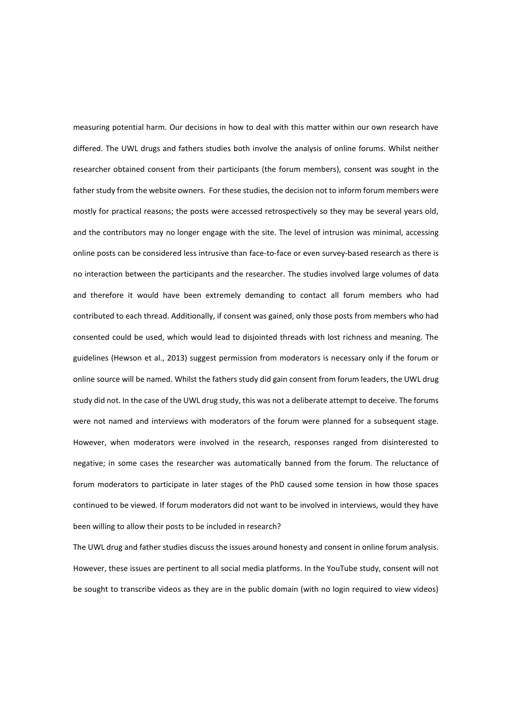measuring potential harm. Our decisions in how to deal with this matter within our own research have differed. The UWL drugs and fathers studies both involve the analysis of online forums. Whilst neither researcher obtained consent from their participants (the forum members), consent was sought in the father study from the website owners. For these studies, the decision not to inform forum members were mostly for practical reasons; the posts were accessed retrospectively so they may be several years old, and the contributors may no longer engage with the site. The level of intrusion was minimal, accessing online posts can be considered less intrusive than face-to-face or even survey-based research as there is no interaction between the participants and the researcher. The studies involved large volumes of data and therefore it would have been extremely demanding to contact all forum members who had contributed to each thread. Additionally, if consent was gained, only those posts from members who had consented could be used, which would lead to disjointed threads with lost richness and meaning. The guidelines (Hewson et al., 2013) suggest permission from moderators is necessary only if the forum or online source will be named. Whilst the fathers study did gain consent from forum leaders, the UWL drug study did not. In the case of the UWL drug study, this was not a deliberate attempt to deceive. The forums were not named and interviews with moderators of the forum were planned for a subsequent stage. However, when moderators were involved in the research, responses ranged from disinterested to negative; in some cases the researcher was automatically banned from the forum. The reluctance of forum moderators to participate in later stages of the PhD caused some tension in how those spaces continued to be viewed. If forum moderators did not want to be involved in interviews, would they have been willing to allow their posts to be included in research?

The UWL drug and father studies discuss the issues around honesty and consent in online forum analysis. However, these issues are pertinent to all social media platforms. In the YouTube study, consent will not be sought to transcribe videos as they are in the public domain (with no login required to view videos)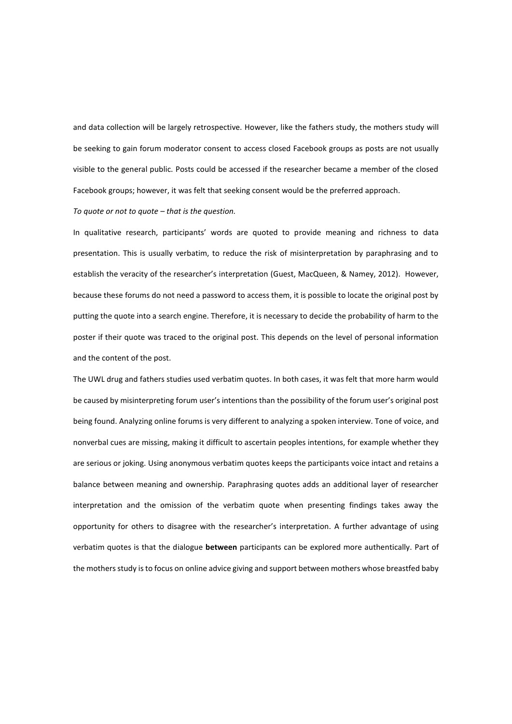and data collection will be largely retrospective. However, like the fathers study, the mothers study will be seeking to gain forum moderator consent to access closed Facebook groups as posts are not usually visible to the general public. Posts could be accessed if the researcher became a member of the closed Facebook groups; however, it was felt that seeking consent would be the preferred approach.

*To quote or not to quote – that is the question.*

In qualitative research, participants' words are quoted to provide meaning and richness to data presentation. This is usually verbatim, to reduce the risk of misinterpretation by paraphrasing and to establish the veracity of the researcher's interpretation (Guest, MacQueen, & Namey, 2012). However, because these forums do not need a password to access them, it is possible to locate the original post by putting the quote into a search engine. Therefore, it is necessary to decide the probability of harm to the poster if their quote was traced to the original post. This depends on the level of personal information and the content of the post.

The UWL drug and fathers studies used verbatim quotes. In both cases, it was felt that more harm would be caused by misinterpreting forum user's intentions than the possibility of the forum user's original post being found. Analyzing online forums is very different to analyzing a spoken interview. Tone of voice, and nonverbal cues are missing, making it difficult to ascertain peoples intentions, for example whether they are serious or joking. Using anonymous verbatim quotes keeps the participants voice intact and retains a balance between meaning and ownership. Paraphrasing quotes adds an additional layer of researcher interpretation and the omission of the verbatim quote when presenting findings takes away the opportunity for others to disagree with the researcher's interpretation. A further advantage of using verbatim quotes is that the dialogue **between** participants can be explored more authentically. Part of the mothers study is to focus on online advice giving and support between mothers whose breastfed baby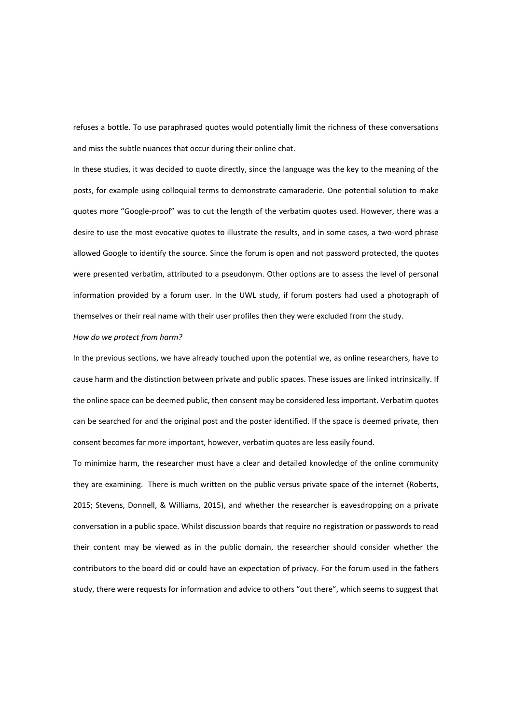refuses a bottle. To use paraphrased quotes would potentially limit the richness of these conversations and miss the subtle nuances that occur during their online chat.

In these studies, it was decided to quote directly, since the language was the key to the meaning of the posts, for example using colloquial terms to demonstrate camaraderie. One potential solution to make quotes more "Google-proof" was to cut the length of the verbatim quotes used. However, there was a desire to use the most evocative quotes to illustrate the results, and in some cases, a two-word phrase allowed Google to identify the source. Since the forum is open and not password protected, the quotes were presented verbatim, attributed to a pseudonym. Other options are to assess the level of personal information provided by a forum user. In the UWL study, if forum posters had used a photograph of themselves or their real name with their user profiles then they were excluded from the study.

## *How do we protect from harm?*

In the previous sections, we have already touched upon the potential we, as online researchers, have to cause harm and the distinction between private and public spaces. These issues are linked intrinsically. If the online space can be deemed public, then consent may be considered less important. Verbatim quotes can be searched for and the original post and the poster identified. If the space is deemed private, then consent becomes far more important, however, verbatim quotes are less easily found.

To minimize harm, the researcher must have a clear and detailed knowledge of the online community they are examining. There is much written on the public versus private space of the internet (Roberts, 2015; Stevens, Donnell, & Williams, 2015), and whether the researcher is eavesdropping on a private conversation in a public space. Whilst discussion boards that require no registration or passwords to read their content may be viewed as in the public domain, the researcher should consider whether the contributors to the board did or could have an expectation of privacy. For the forum used in the fathers study, there were requests for information and advice to others "out there", which seems to suggest that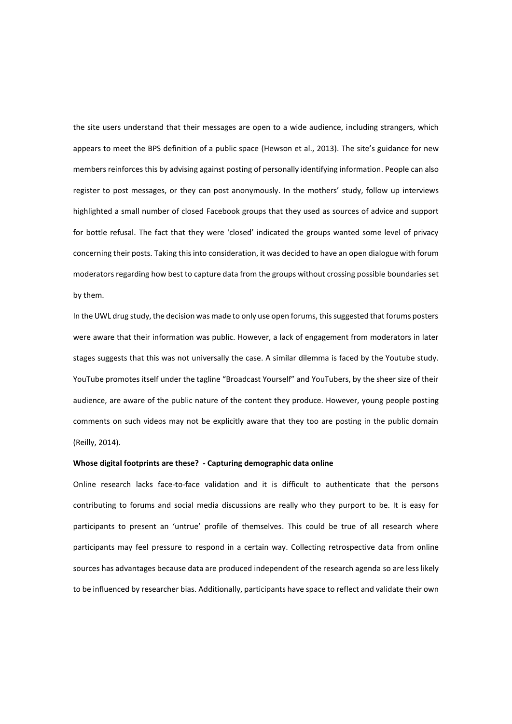the site users understand that their messages are open to a wide audience, including strangers, which appears to meet the BPS definition of a public space (Hewson et al., 2013). The site's guidance for new members reinforces this by advising against posting of personally identifying information. People can also register to post messages, or they can post anonymously. In the mothers' study, follow up interviews highlighted a small number of closed Facebook groups that they used as sources of advice and support for bottle refusal. The fact that they were 'closed' indicated the groups wanted some level of privacy concerning their posts. Taking this into consideration, it was decided to have an open dialogue with forum moderators regarding how best to capture data from the groups without crossing possible boundaries set by them.

In the UWL drug study, the decision was made to only use open forums, this suggested that forums posters were aware that their information was public. However, a lack of engagement from moderators in later stages suggests that this was not universally the case. A similar dilemma is faced by the Youtube study. YouTube promotes itself under the tagline "Broadcast Yourself" and YouTubers, by the sheer size of their audience, are aware of the public nature of the content they produce. However, young people posting comments on such videos may not be explicitly aware that they too are posting in the public domain (Reilly, 2014).

#### **Whose digital footprints are these? - Capturing demographic data online**

Online research lacks face-to-face validation and it is difficult to authenticate that the persons contributing to forums and social media discussions are really who they purport to be. It is easy for participants to present an 'untrue' profile of themselves. This could be true of all research where participants may feel pressure to respond in a certain way. Collecting retrospective data from online sources has advantages because data are produced independent of the research agenda so are less likely to be influenced by researcher bias. Additionally, participants have space to reflect and validate their own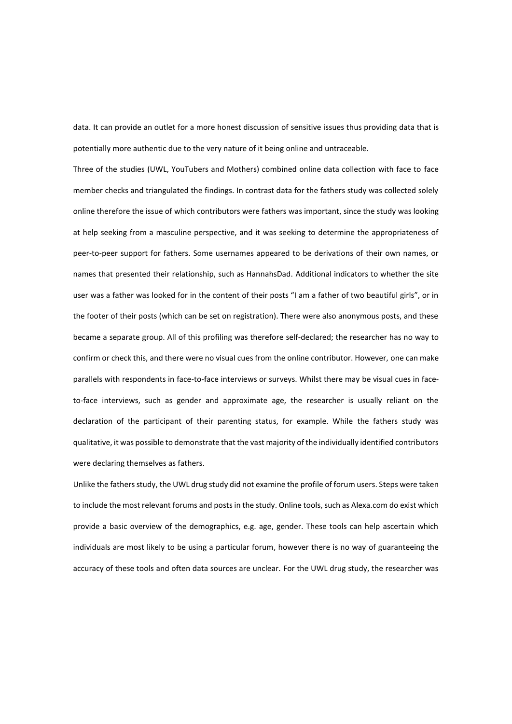data. It can provide an outlet for a more honest discussion of sensitive issues thus providing data that is potentially more authentic due to the very nature of it being online and untraceable.

Three of the studies (UWL, YouTubers and Mothers) combined online data collection with face to face member checks and triangulated the findings. In contrast data for the fathers study was collected solely online therefore the issue of which contributors were fathers was important, since the study was looking at help seeking from a masculine perspective, and it was seeking to determine the appropriateness of peer-to-peer support for fathers. Some usernames appeared to be derivations of their own names, or names that presented their relationship, such as HannahsDad. Additional indicators to whether the site user was a father was looked for in the content of their posts "I am a father of two beautiful girls", or in the footer of their posts (which can be set on registration). There were also anonymous posts, and these became a separate group. All of this profiling was therefore self-declared; the researcher has no way to confirm or check this, and there were no visual cues from the online contributor. However, one can make parallels with respondents in face-to-face interviews or surveys. Whilst there may be visual cues in faceto-face interviews, such as gender and approximate age, the researcher is usually reliant on the declaration of the participant of their parenting status, for example. While the fathers study was qualitative, it was possible to demonstrate that the vast majority of the individually identified contributors were declaring themselves as fathers.

Unlike the fathers study, the UWL drug study did not examine the profile of forum users. Steps were taken to include the most relevant forums and posts in the study. Online tools, such as Alexa.com do exist which provide a basic overview of the demographics, e.g. age, gender. These tools can help ascertain which individuals are most likely to be using a particular forum, however there is no way of guaranteeing the accuracy of these tools and often data sources are unclear. For the UWL drug study, the researcher was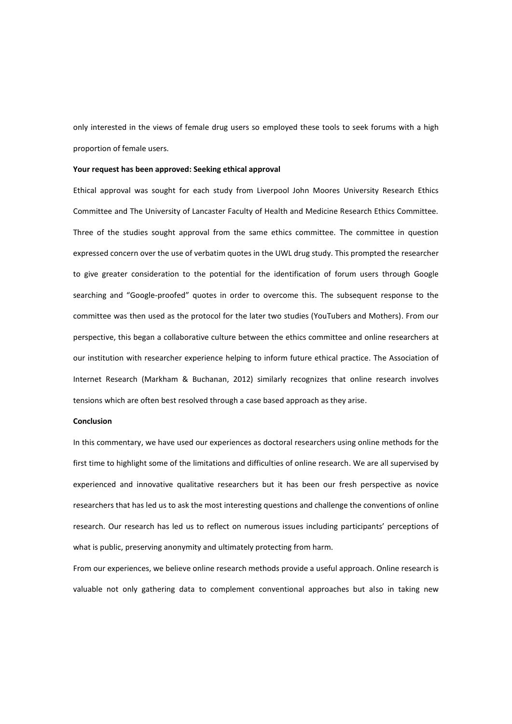only interested in the views of female drug users so employed these tools to seek forums with a high proportion of female users.

#### **Your request has been approved: Seeking ethical approval**

Ethical approval was sought for each study from Liverpool John Moores University Research Ethics Committee and The University of Lancaster Faculty of Health and Medicine Research Ethics Committee. Three of the studies sought approval from the same ethics committee. The committee in question expressed concern over the use of verbatim quotes in the UWL drug study. This prompted the researcher to give greater consideration to the potential for the identification of forum users through Google searching and "Google-proofed" quotes in order to overcome this. The subsequent response to the committee was then used as the protocol for the later two studies (YouTubers and Mothers). From our perspective, this began a collaborative culture between the ethics committee and online researchers at our institution with researcher experience helping to inform future ethical practice. The Association of Internet Research (Markham & Buchanan, 2012) similarly recognizes that online research involves tensions which are often best resolved through a case based approach as they arise.

## **Conclusion**

In this commentary, we have used our experiences as doctoral researchers using online methods for the first time to highlight some of the limitations and difficulties of online research. We are all supervised by experienced and innovative qualitative researchers but it has been our fresh perspective as novice researchers that has led us to ask the most interesting questions and challenge the conventions of online research. Our research has led us to reflect on numerous issues including participants' perceptions of what is public, preserving anonymity and ultimately protecting from harm.

From our experiences, we believe online research methods provide a useful approach. Online research is valuable not only gathering data to complement conventional approaches but also in taking new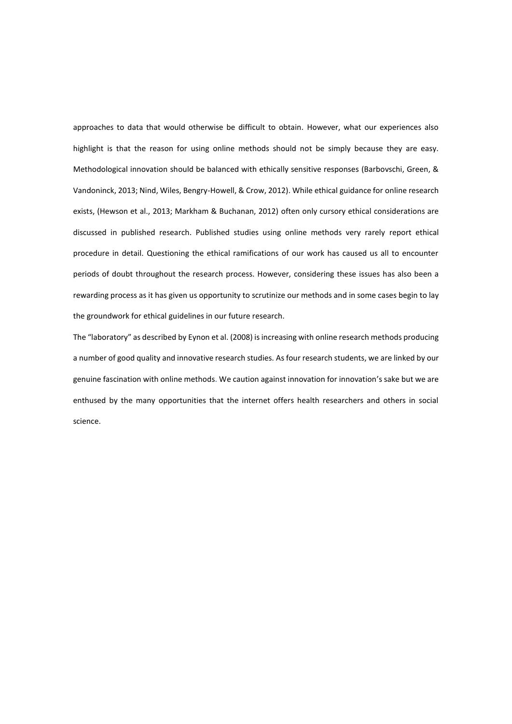approaches to data that would otherwise be difficult to obtain. However, what our experiences also highlight is that the reason for using online methods should not be simply because they are easy. Methodological innovation should be balanced with ethically sensitive responses (Barbovschi, Green, & Vandoninck, 2013; Nind, Wiles, Bengry-Howell, & Crow, 2012). While ethical guidance for online research exists, (Hewson et al., 2013; Markham & Buchanan, 2012) often only cursory ethical considerations are discussed in published research. Published studies using online methods very rarely report ethical procedure in detail. Questioning the ethical ramifications of our work has caused us all to encounter periods of doubt throughout the research process. However, considering these issues has also been a rewarding process as it has given us opportunity to scrutinize our methods and in some cases begin to lay the groundwork for ethical guidelines in our future research.

The "laboratory" as described by Eynon et al. (2008) is increasing with online research methods producing a number of good quality and innovative research studies. As four research students, we are linked by our genuine fascination with online methods. We caution against innovation for innovation's sake but we are enthused by the many opportunities that the internet offers health researchers and others in social science.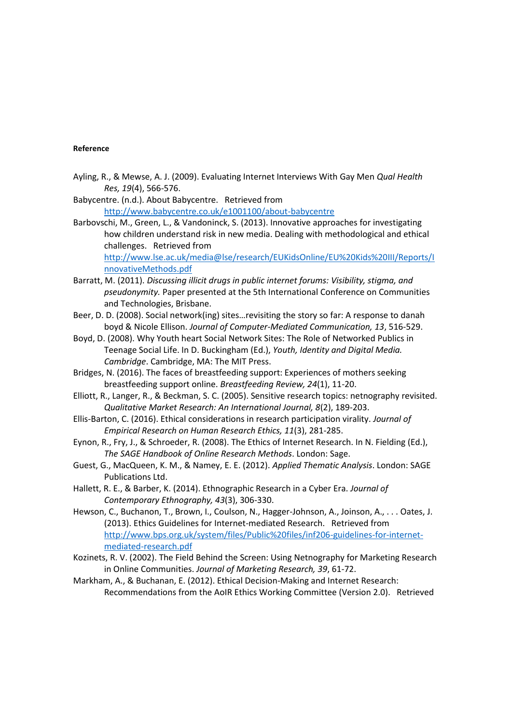## **Reference**

- Ayling, R., & Mewse, A. J. (2009). Evaluating Internet Interviews With Gay Men *Qual Health Res, 19*(4), 566-576.
- Babycentre. (n.d.). About Babycentre. Retrieved from <http://www.babycentre.co.uk/e1001100/about-babycentre>
- Barbovschi, M., Green, L., & Vandoninck, S. (2013). Innovative approaches for investigating how children understand risk in new media. Dealing with methodological and ethical challenges. Retrieved from [http://www.lse.ac.uk/media@lse/research/EUKidsOnline/EU%20Kids%20III/Reports/I](http://www.lse.ac.uk/media@lse/research/EUKidsOnline/EU%20Kids%20III/Reports/InnovativeMethods.pdf) [nnovativeMethods.pdf](http://www.lse.ac.uk/media@lse/research/EUKidsOnline/EU%20Kids%20III/Reports/InnovativeMethods.pdf)
- Barratt, M. (2011). *Discussing illicit drugs in public internet forums: Visibility, stigma, and pseudonymity.* Paper presented at the 5th International Conference on Communities and Technologies, Brisbane.
- Beer, D. D. (2008). Social network(ing) sites…revisiting the story so far: A response to danah boyd & Nicole Ellison. *Journal of Computer-Mediated Communication, 13*, 516-529.
- Boyd, D. (2008). Why Youth heart Social Network Sites: The Role of Networked Publics in Teenage Social Life. In D. Buckingham (Ed.), *Youth, Identity and Digital Media. Cambridge*. Cambridge, MA: The MIT Press.
- Bridges, N. (2016). The faces of breastfeeding support: Experiences of mothers seeking breastfeeding support online. *Breastfeeding Review, 24*(1), 11-20.
- Elliott, R., Langer, R., & Beckman, S. C. (2005). Sensitive research topics: netnography revisited. *Qualitative Market Research: An International Journal, 8*(2), 189-203.
- Ellis-Barton, C. (2016). Ethical considerations in research participation virality. *Journal of Empirical Research on Human Research Ethics, 11*(3), 281-285.
- Eynon, R., Fry, J., & Schroeder, R. (2008). The Ethics of Internet Research. In N. Fielding (Ed.), *The SAGE Handbook of Online Research Methods*. London: Sage.
- Guest, G., MacQueen, K. M., & Namey, E. E. (2012). *Applied Thematic Analysis*. London: SAGE Publications Ltd.
- Hallett, R. E., & Barber, K. (2014). Ethnographic Research in a Cyber Era. *Journal of Contemporary Ethnography, 43*(3), 306-330.
- Hewson, C., Buchanon, T., Brown, I., Coulson, N., Hagger-Johnson, A., Joinson, A., . . . Oates, J. (2013). Ethics Guidelines for Internet-mediated Research. Retrieved from [http://www.bps.org.uk/system/files/Public%20files/inf206-guidelines-for-internet](http://www.bps.org.uk/system/files/Public%20files/inf206-guidelines-for-internet-mediated-research.pdf)[mediated-research.pdf](http://www.bps.org.uk/system/files/Public%20files/inf206-guidelines-for-internet-mediated-research.pdf)
- Kozinets, R. V. (2002). The Field Behind the Screen: Using Netnography for Marketing Research in Online Communities. *Journal of Marketing Research, 39*, 61-72.
- Markham, A., & Buchanan, E. (2012). Ethical Decision-Making and Internet Research: Recommendations from the AoIR Ethics Working Committee (Version 2.0). Retrieved